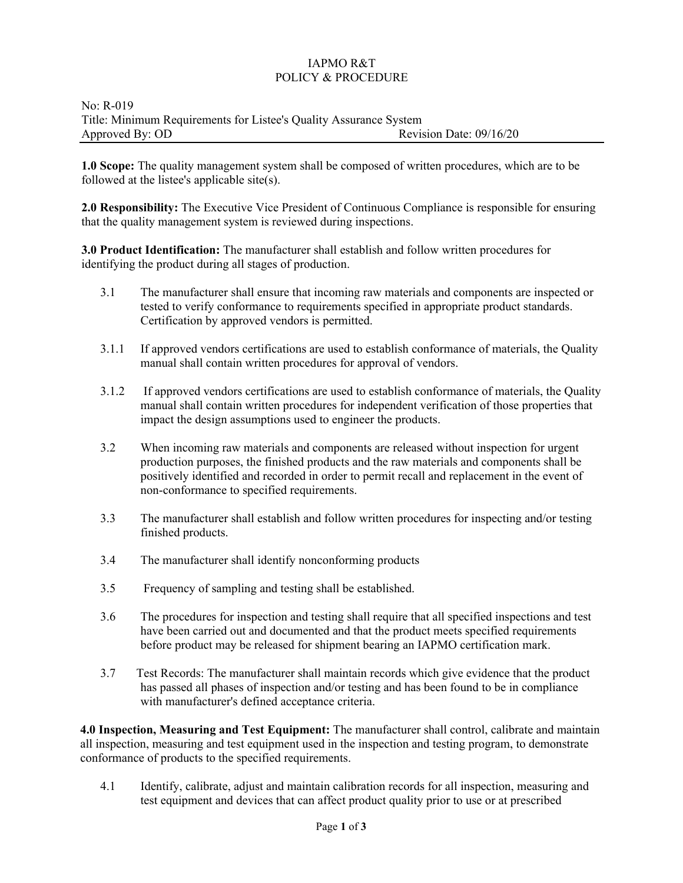## IAPMO R&T POLICY & PROCEDURE

## No: R-019 Title: Minimum Requirements for Listee's Quality Assurance System Approved By: OD Revision Date: 09/16/20

**1.0 Scope:** The quality management system shall be composed of written procedures, which are to be followed at the listee's applicable site(s).

**2.0 Responsibility:** The Executive Vice President of Continuous Compliance is responsible for ensuring that the quality management system is reviewed during inspections.

**3.0 Product Identification:** The manufacturer shall establish and follow written procedures for identifying the product during all stages of production.

- 3.1 The manufacturer shall ensure that incoming raw materials and components are inspected or tested to verify conformance to requirements specified in appropriate product standards. Certification by approved vendors is permitted.
- 3.1.1 If approved vendors certifications are used to establish conformance of materials, the Quality manual shall contain written procedures for approval of vendors.
- 3.1.2 If approved vendors certifications are used to establish conformance of materials, the Quality manual shall contain written procedures for independent verification of those properties that impact the design assumptions used to engineer the products.
- 3.2 When incoming raw materials and components are released without inspection for urgent production purposes, the finished products and the raw materials and components shall be positively identified and recorded in order to permit recall and replacement in the event of non-conformance to specified requirements.
- 3.3 The manufacturer shall establish and follow written procedures for inspecting and/or testing finished products.
- 3.4 The manufacturer shall identify nonconforming products
- 3.5 Frequency of sampling and testing shall be established.
- 3.6 The procedures for inspection and testing shall require that all specified inspections and test have been carried out and documented and that the product meets specified requirements before product may be released for shipment bearing an IAPMO certification mark.
- 3.7 Test Records: The manufacturer shall maintain records which give evidence that the product has passed all phases of inspection and/or testing and has been found to be in compliance with manufacturer's defined acceptance criteria.

**4.0 Inspection, Measuring and Test Equipment:** The manufacturer shall control, calibrate and maintain all inspection, measuring and test equipment used in the inspection and testing program, to demonstrate conformance of products to the specified requirements.

4.1 Identify, calibrate, adjust and maintain calibration records for all inspection, measuring and test equipment and devices that can affect product quality prior to use or at prescribed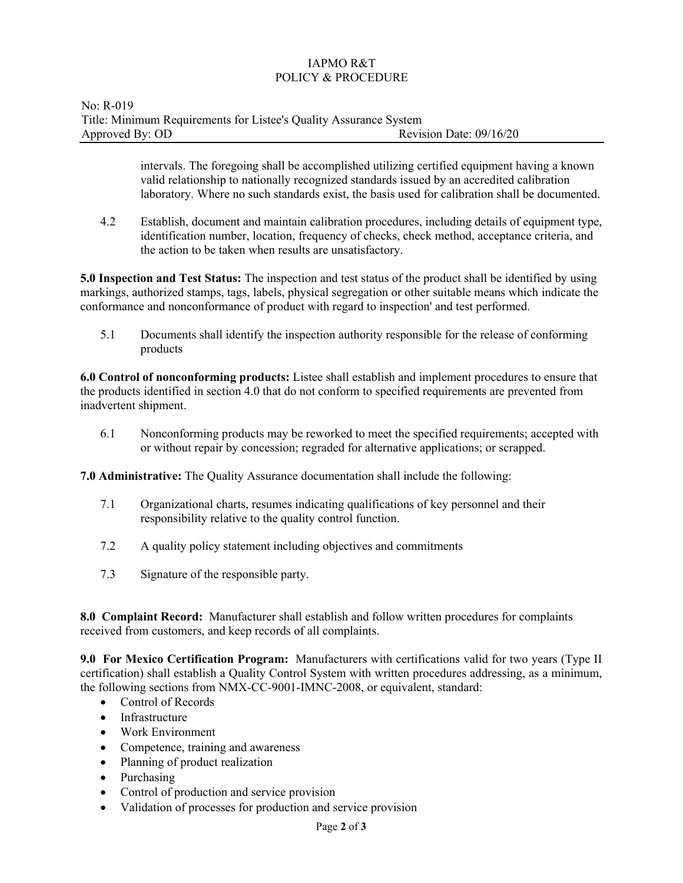## IAPMO R&T POLICY & PROCEDURE

intervals. The foregoing shall be accomplished utilizing certified equipment having a known valid relationship to nationally recognized standards issued by an accredited calibration laboratory. Where no such standards exist, the basis used for calibration shall be documented.

4.2 Establish, document and maintain calibration procedures, including details of equipment type, identification number, location, frequency of checks, check method, acceptance criteria, and the action to be taken when results are unsatisfactory.

**5.0 Inspection and Test Status:** The inspection and test status of the product shall be identified by using markings, authorized stamps, tags, labels, physical segregation or other suitable means which indicate the conformance and nonconformance of product with regard to inspection' and test performed.

5.1 Documents shall identify the inspection authority responsible for the release of conforming products

**6.0 Control of nonconforming products:** Listee shall establish and implement procedures to ensure that the products identified in section 4.0 that do not conform to specified requirements are prevented from inadvertent shipment.

6.1 Nonconforming products may be reworked to meet the specified requirements; accepted with or without repair by concession; regraded for alternative applications; or scrapped.

**7.0 Administrative:** The Quality Assurance documentation shall include the following:

- 7.1 Organizational charts, resumes indicating qualifications of key personnel and their responsibility relative to the quality control function.
- 7.2 A quality policy statement including objectives and commitments
- 7.3 Signature of the responsible party.

**8.0 Complaint Record:** Manufacturer shall establish and follow written procedures for complaints received from customers, and keep records of all complaints.

**9.0 For Mexico Certification Program:** Manufacturers with certifications valid for two years (Type II certification) shall establish a Quality Control System with written procedures addressing, as a minimum, the following sections from NMX-CC-9001-IMNC-2008, or equivalent, standard:

- Control of Records
- Infrastructure
- Work Environment
- Competence, training and awareness
- Planning of product realization
- Purchasing
- Control of production and service provision
- Validation of processes for production and service provision